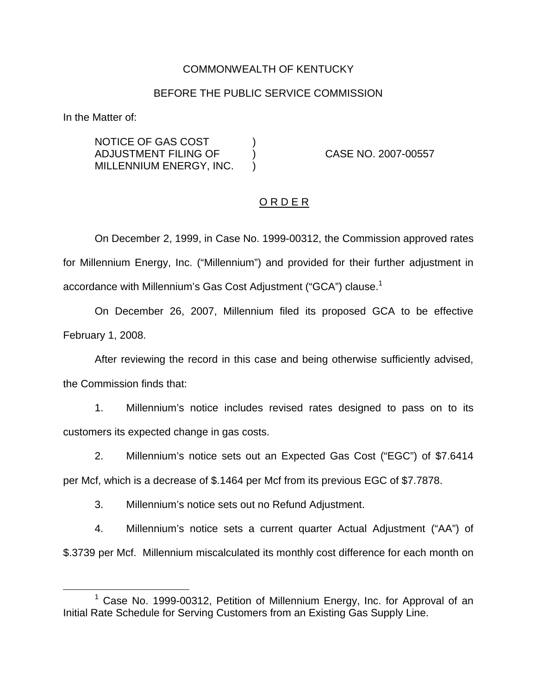# COMMONWEALTH OF KENTUCKY

## BEFORE THE PUBLIC SERVICE COMMISSION

In the Matter of:

NOTICE OF GAS COST ) ADJUSTMENT FILING OF ) CASE NO. 2007-00557 MILLENNIUM ENERGY, INC. )

## O R D E R

On December 2, 1999, in Case No. 1999-00312, the Commission approved rates for Millennium Energy, Inc. ("Millennium") and provided for their further adjustment in accordance with Millennium's Gas Cost Adjustment ("GCA") clause.<sup>1</sup>

On December 26, 2007, Millennium filed its proposed GCA to be effective February 1, 2008.

After reviewing the record in this case and being otherwise sufficiently advised, the Commission finds that:

1. Millennium's notice includes revised rates designed to pass on to its customers its expected change in gas costs.

2. Millennium's notice sets out an Expected Gas Cost ("EGC") of \$7.6414

per Mcf, which is a decrease of \$.1464 per Mcf from its previous EGC of \$7.7878.

3. Millennium's notice sets out no Refund Adjustment.

4. Millennium's notice sets a current quarter Actual Adjustment ("AA") of \$.3739 per Mcf. Millennium miscalculated its monthly cost difference for each month on

 $1$  Case No. 1999-00312, Petition of Millennium Energy, Inc. for Approval of an Initial Rate Schedule for Serving Customers from an Existing Gas Supply Line.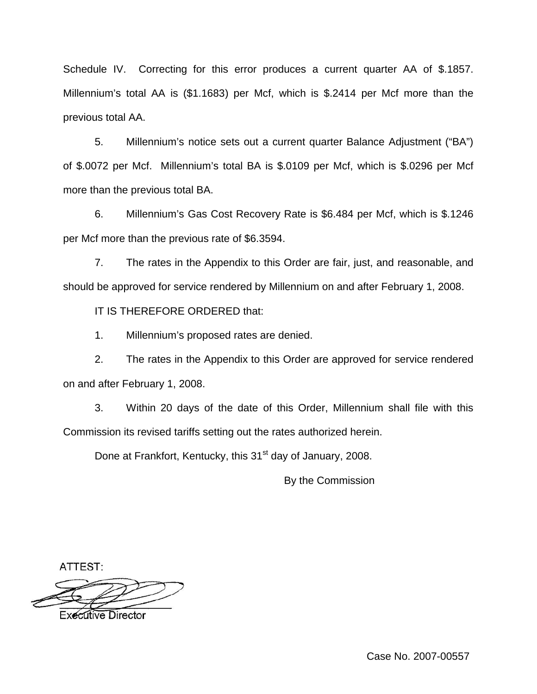Schedule IV. Correcting for this error produces a current quarter AA of \$.1857. Millennium's total AA is (\$1.1683) per Mcf, which is \$.2414 per Mcf more than the previous total AA.

5. Millennium's notice sets out a current quarter Balance Adjustment ("BA") of \$.0072 per Mcf. Millennium's total BA is \$.0109 per Mcf, which is \$.0296 per Mcf more than the previous total BA.

6. Millennium's Gas Cost Recovery Rate is \$6.484 per Mcf, which is \$.1246 per Mcf more than the previous rate of \$6.3594.

7. The rates in the Appendix to this Order are fair, just, and reasonable, and should be approved for service rendered by Millennium on and after February 1, 2008.

IT IS THEREFORE ORDERED that:

1. Millennium's proposed rates are denied.

2. The rates in the Appendix to this Order are approved for service rendered on and after February 1, 2008.

3. Within 20 days of the date of this Order, Millennium shall file with this Commission its revised tariffs setting out the rates authorized herein.

Done at Frankfort, Kentucky, this 31<sup>st</sup> day of January, 2008.

By the Commission

ATTEST:



**Executive Director**